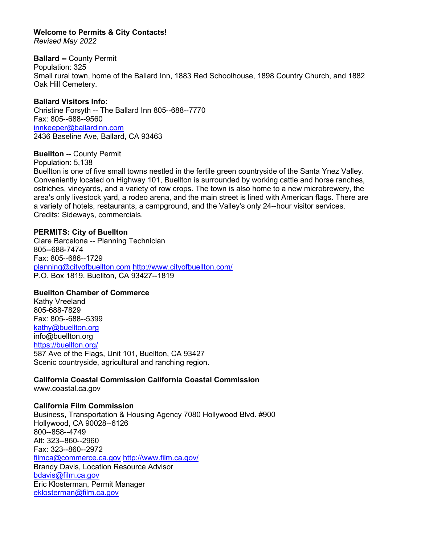# **Welcome to Permits & City Contacts!**

*Revised May 2022*

# **Ballard --** County Permit

Population: 325 Small rural town, home of the Ballard Inn, 1883 Red Schoolhouse, 1898 Country Church, and 1882 Oak Hill Cemetery.

**Ballard Visitors Info:**  Christine Forsyth -- The Ballard Inn 805--688--7770 Fax: 805--688--9560 [innkeeper@ballardinn.com](mailto:innkeeper@ballardinn.com) 2436 Baseline Ave, Ballard, CA 93463

# **Buellton --** County Permit

Population: 5,138

Buellton is one of five small towns nestled in the fertile green countryside of the Santa Ynez Valley. Conveniently located on Highway 101, Buellton is surrounded by working cattle and horse ranches, ostriches, vineyards, and a variety of row crops. The town is also home to a new microbrewery, the area's only livestock yard, a rodeo arena, and the main street is lined with American flags. There are a variety of hotels, restaurants, a campground, and the Valley's only 24--hour visitor services. Credits: Sideways, commercials.

# **PERMITS: City of Buellton**

Clare Barcelona -- Planning Technician 805--688-7474 Fax: 805--686--1729 [planning@cityofbuellton.com](mailto:planning@cityofbuellton.com) <http://www.cityofbuellton.com/> P.O. Box 1819, Buellton, CA 93427--1819

# **Buellton Chamber of Commerce**

Kathy Vreeland 805-688-7829 Fax: 805--688--5399 [kathy@buellton.org](mailto:kathy@buellton.org)  info@buellton.org <https://buellton.org/> 587 Ave of the Flags, Unit 101, Buellton, CA 93427 Scenic countryside, agricultural and ranching region.

**California Coastal Commission California Coastal Commission** www.coastal.ca.gov

# **California Film Commission**

Business, Transportation & Housing Agency 7080 Hollywood Blvd. #900 Hollywood, CA 90028--6126 800--858--4749 Alt: 323--860--2960 Fax: 323--860--2972 [filmca@commerce.ca.gov](mailto:filmca@commerce.ca.gov) <http://www.film.ca.gov/> Brandy Davis, Location Resource Advisor [bdavis@film.ca.gov](mailto:bdavis@film.ca.gov) Eric Klosterman, Permit Manager [eklosterman@film.ca.gov](mailto:eklosterman@film.ca.gov)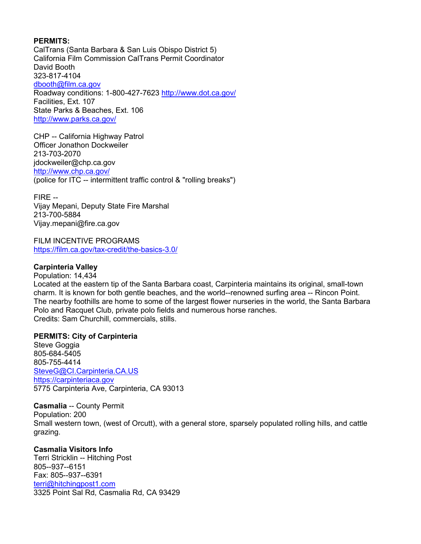### **PERMITS:**

CalTrans (Santa Barbara & San Luis Obispo District 5) California Film Commission CalTrans Permit Coordinator David Booth 323-817-4104 [dbooth@film.ca.gov](mailto:dbooth@film.ca.gov) Roadway conditions: 1-800-427-7623<http://www.dot.ca.gov/> Facilities, Ext. 107 State Parks & Beaches, Ext. 106 <http://www.parks.ca.gov/>

CHP -- California Highway Patrol Officer Jonathon Dockweiler 213-703-2070 jdockweiler@chp.ca.gov <http://www.chp.ca.gov/> (police for ITC -- intermittent traffic control & "rolling breaks")

FIRE -- Vijay Mepani, Deputy State Fire Marshal 213-700-5884 Vijay.mepani@fire.ca.gov

FILM INCENTIVE PROGRAMS <https://film.ca.gov/tax-credit/the-basics-3.0/>

### **Carpinteria Valley**

Population: 14,434 Located at the eastern tip of the Santa Barbara coast, Carpinteria maintains its original, small-town charm. It is known for both gentle beaches, and the world--renowned surfing area -- Rincon Point. The nearby foothills are home to some of the largest flower nurseries in the world, the Santa Barbara Polo and Racquet Club, private polo fields and numerous horse ranches. Credits: Sam Churchill, commercials, stills.

#### **PERMITS: City of Carpinteria**

Steve Goggia 805-684-5405 805-755-4414 [SteveG@CI.Carpinteria.CA.US](mailto:SteveG@CI.Carpinteria.CA.US) [https://carpinteriaca.gov](https://carpinteriaca.gov/) 5775 Carpinteria Ave, Carpinteria, CA 93013

**Casmalia** -- County Permit Population: 200 Small western town, (west of Orcutt), with a general store, sparsely populated rolling hills, and cattle grazing.

# **Casmalia Visitors Info**

Terri Stricklin -- Hitching Post 805--937--6151 Fax: 805--937--6391 [terri@hitchingpost1.com](mailto:terri@hitchingpost1.com) 3325 Point Sal Rd, Casmalia Rd, CA 93429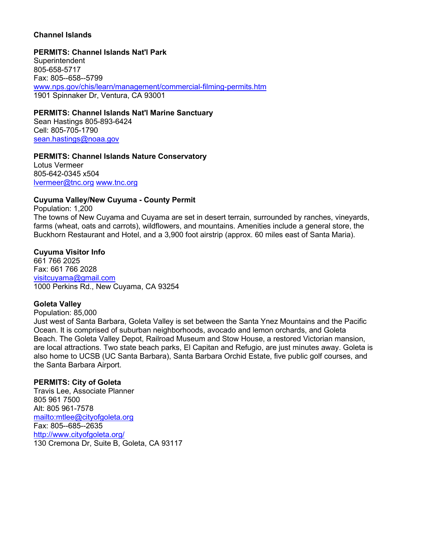# **Channel Islands**

#### **PERMITS: Channel Islands Nat'l Park**

**Superintendent** 805-658-5717 Fax: 805--658--5799 www.nps.gov/chis/learn/management/commercial-filming-permits.htm 1901 Spinnaker Dr, Ventura, CA 93001

### **PERMITS: Channel Islands Nat'l Marine Sanctuary**

Sean Hastings 805-893-6424 Cell: 805-705-1790 [sean.hastings@noaa.gov](mailto:sean.hastings@noaa.gov)

# **PERMITS: Channel Islands Nature Conservatory**

Lotus Vermeer 805-642-0345 x504 [lvermeer@tnc.org](mailto:lvermeer@tnc.org) [www.tnc.org](http://www.tnc.org/)

### **Cuyuma Valley/New Cuyuma - County Permit**

Population: 1,200 The towns of New Cuyama and Cuyama are set in desert terrain, surrounded by ranches, vineyards, farms (wheat, oats and carrots), wildflowers, and mountains. Amenities include a general store, the Buckhorn Restaurant and Hotel, and a 3,900 foot airstrip (approx. 60 miles east of Santa Maria).

### **Cuyuma Visitor Info**

661 766 2025 Fax: 661 766 2028 [visitcuyama@gmail.com](mailto:visitcuyama@gmail.com) 1000 Perkins Rd., New Cuyama, CA 93254

# **Goleta Valley**

Population: 85,000

Just west of Santa Barbara, Goleta Valley is set between the Santa Ynez Mountains and the Pacific Ocean. It is comprised of suburban neighborhoods, avocado and lemon orchards, and Goleta Beach. The Goleta Valley Depot, Railroad Museum and Stow House, a restored Victorian mansion, are local attractions. Two state beach parks, El Capitan and Refugio, are just minutes away. Goleta is also home to UCSB (UC Santa Barbara), Santa Barbara Orchid Estate, five public golf courses, and the Santa Barbara Airport.

# **PERMITS: City of Goleta**

Travis Lee, Associate Planner 805 961 7500 Alt: 805 961-7578 <mailto:mtlee@cityofgoleta.org> Fax: 805--685--2635 <http://www.cityofgoleta.org/> 130 Cremona Dr, Suite B, Goleta, CA 93117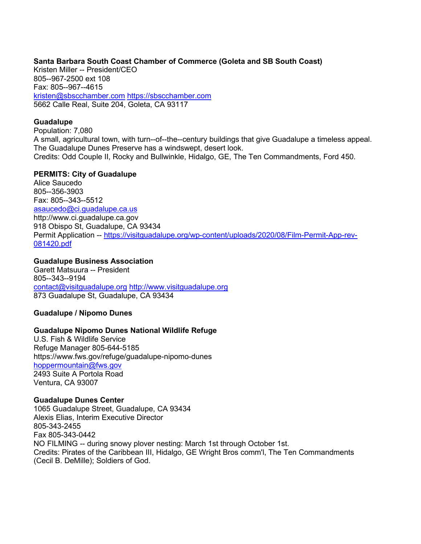### **Santa Barbara South Coast Chamber of Commerce (Goleta and SB South Coast)**

Kristen Miller -- President/CEO 805--967-2500 ext 108 Fax: 805--967--4615 [kristen@sbscchamber.com](mailto:kristen@sbscchamber.com) [https://sbscchamber.com](https://sbscchamber.com/) 5662 Calle Real, Suite 204, Goleta, CA 93117

### **Guadalupe**

Population: 7,080 A small, agricultural town, with turn--of--the--century buildings that give Guadalupe a timeless appeal. The Guadalupe Dunes Preserve has a windswept, desert look. Credits: Odd Couple II, Rocky and Bullwinkle, Hidalgo, GE, The Ten Commandments, Ford 450.

### **PERMITS: City of Guadalupe**

Alice Saucedo 805--356-3903 Fax: 805--343--5512 [asaucedo@ci.guadalupe.ca.us](mailto:asaucedo@ci.guadalupe.ca.us)  http://www.ci.guadalupe.ca.gov 918 Obispo St, Guadalupe, CA 93434 Permit Application -- [https://visitguadalupe.org/wp-content/uploads/2020/08/Film-Permit-App-rev-](https://visitguadalupe.org/wp-content/uploads/2020/08/Film-Permit-App-rev-081420.pdf)[081420.pdf](https://visitguadalupe.org/wp-content/uploads/2020/08/Film-Permit-App-rev-081420.pdf)

# **Guadalupe Business Association**

Garett Matsuura -- President 805--343--9194 [contact@visitguadalupe.org](mailto:contact@visitguadalupe.org) [http://www.visitguadalupe.org](http://www.visitguadalupe.org/) 873 Guadalupe St, Guadalupe, CA 93434

# **Guadalupe / Nipomo Dunes**

# **Guadalupe Nipomo Dunes National Wildlife Refuge**

U.S. Fish & Wildlife Service Refuge Manager 805-644-5185 https://www.fws.gov/refuge/guadalupe-nipomo-dunes [hoppermountain@fws.gov](mailto:hoppermountain@fws.gov) 2493 Suite A Portola Road Ventura, CA 93007

# **Guadalupe Dunes Center**

1065 Guadalupe Street, Guadalupe, CA 93434 Alexis Elias, Interim Executive Director 805-343-2455 Fax 805-343-0442 NO FILMING -- during snowy plover nesting: March 1st through October 1st. Credits: Pirates of the Caribbean III, Hidalgo, GE Wright Bros comm'l, The Ten Commandments (Cecil B. DeMille); Soldiers of God.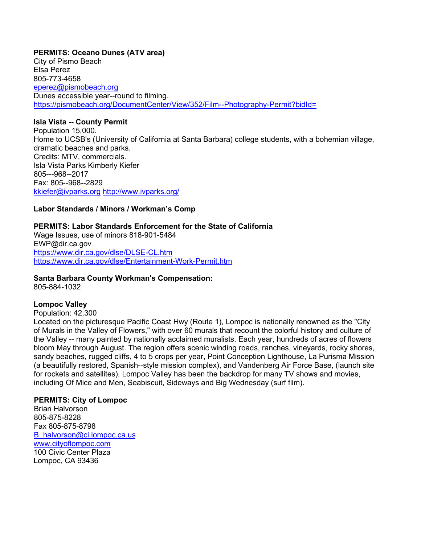# **PERMITS: Oceano Dunes (ATV area)**

City of Pismo Beach Elsa Perez 805-773-4658 [eperez@pismobeach.org](mailto:eperez@pismobeach.org) Dunes accessible year--round to filming. <https://pismobeach.org/DocumentCenter/View/352/Film--Photography-Permit?bidId=>

### **Isla Vista -- County Permit**

Population 15,000. Home to UCSB's (University of California at Santa Barbara) college students, with a bohemian village, dramatic beaches and parks. Credits: MTV, commercials. Isla Vista Parks Kimberly Kiefer 805---968--2017 Fax: 805--968--2829 [kkiefer@ivparks.org](mailto:kkiefer@ivparks.org) <http://www.ivparks.org/>

# **Labor Standards / Minors / Workman's Comp**

# **PERMITS: Labor Standards Enforcement for the State of California**

Wage Issues, use of minors 818-901-5484 EWP@dir.ca.gov <https://www.dir.ca.gov/dlse/DLSE-CL.htm> <https://www.dir.ca.gov/dlse/Entertainment-Work-Permit.htm>

# **Santa Barbara County Workman's Compensation:**

805-884-1032

# **Lompoc Valley**

Population: 42,300

Located on the picturesque Pacific Coast Hwy (Route 1), Lompoc is nationally renowned as the "City of Murals in the Valley of Flowers," with over 60 murals that recount the colorful history and culture of the Valley -- many painted by nationally acclaimed muralists. Each year, hundreds of acres of flowers bloom May through August. The region offers scenic winding roads, ranches, vineyards, rocky shores, sandy beaches, rugged cliffs, 4 to 5 crops per year, Point Conception Lighthouse, La Purisma Mission (a beautifully restored, Spanish--style mission complex), and Vandenberg Air Force Base, (launch site for rockets and satellites). Lompoc Valley has been the backdrop for many TV shows and movies, including Of Mice and Men, Seabiscuit, Sideways and Big Wednesday (surf film).

# **PERMITS: City of Lompoc**

Brian Halvorson 805-875-8228 Fax 805-875-8798 [B\\_halvorson@ci.lompoc.ca.us](mailto:B_halvorson@ci.lompoc.ca.us) [www.cityoflompoc.com](http://www.cityoflompoc.com/) 100 Civic Center Plaza Lompoc, CA 93436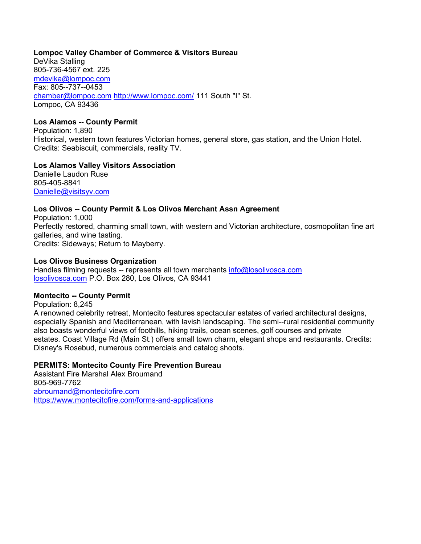# **Lompoc Valley Chamber of Commerce & Visitors Bureau**

DeVika Stalling 805-736-4567 ext. 225 [mdevika@lompoc.com](mailto:mdevika@lompoc.com) Fax: 805--737--0453 [chamber@lompoc.com](mailto:chamber@lompoc.com) <http://www.lompoc.com/> 111 South "I" St. Lompoc, CA 93436

# **Los Alamos -- County Permit**

Population: 1,890 Historical, western town features Victorian homes, general store, gas station, and the Union Hotel. Credits: Seabiscuit, commercials, reality TV.

# **Los Alamos Valley Visitors Association**

Danielle Laudon Ruse 805-405-8841 [Danielle@visitsyv.com](mailto:Danielle@visitsyv.com)

# **Los Olivos -- County Permit & Los Olivos Merchant Assn Agreement**

Population: 1,000 Perfectly restored, charming small town, with western and Victorian architecture, cosmopolitan fine art galleries, and wine tasting. Credits: Sideways; Return to Mayberry.

# **Los Olivos Business Organization**

Handles filming requests -- represents all town merchants [info@losolivosca.com](mailto:info@losolivosca.com) [losolivosca.com](https://www.losolivosca.com/) P.O. Box 280, Los Olivos, CA 93441

# **Montecito -- County Permit**

Population: 8,245

A renowned celebrity retreat, Montecito features spectacular estates of varied architectural designs, especially Spanish and Mediterranean, with lavish landscaping. The semi--rural residential community also boasts wonderful views of foothills, hiking trails, ocean scenes, golf courses and private estates. Coast Village Rd (Main St.) offers small town charm, elegant shops and restaurants. Credits: Disney's Rosebud, numerous commercials and catalog shoots.

# **PERMITS: Montecito County Fire Prevention Bureau**

Assistant Fire Marshal Alex Broumand 805-969-7762 [abroumand@montecitofire.com](mailto:abroumand@montecitofire.com) <https://www.montecitofire.com/forms-and-applications>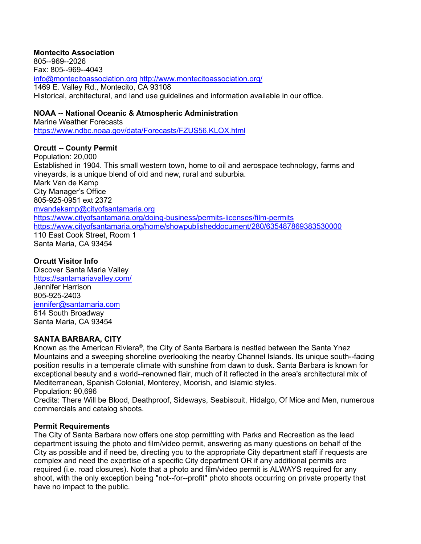# **Montecito Association**

805--969--2026 Fax: 805--969--4043 [info@montecitoassociation.org](mailto:info@montecitoassociation.org) <http://www.montecitoassociation.org/> 1469 E. Valley Rd., Montecito, CA 93108 Historical, architectural, and land use guidelines and information available in our office.

# **NOAA -- National Oceanic & Atmospheric Administration**

Marine Weather Forecasts <https://www.ndbc.noaa.gov/data/Forecasts/FZUS56.KLOX.html>

# **Orcutt -- County Permit**

Population: 20,000 Established in 1904. This small western town, home to oil and aerospace technology, farms and vineyards, is a unique blend of old and new, rural and suburbia. Mark Van de Kamp City Manager's Office 805-925-0951 ext 2372 [mvandekamp@cityofsantamaria.org](mailto:mvandekamp@cityofsantamaria.org) <https://www.cityofsantamaria.org/doing-business/permits-licenses/film-permits> <https://www.cityofsantamaria.org/home/showpublisheddocument/280/635487869383530000> 110 East Cook Street, Room 1 Santa Maria, CA 93454

# **Orcutt Visitor Info**

Discover Santa Maria Valley <https://santamariavalley.com/> Jennifer Harrison 805-925-2403 [jennifer@santamaria.com](mailto:jennifer@santamaria.com) 614 South Broadway Santa Maria, CA 93454

# **SANTA BARBARA, CITY**

Known as the American Riviera®, the City of Santa Barbara is nestled between the Santa Ynez Mountains and a sweeping shoreline overlooking the nearby Channel Islands. Its unique south--facing position results in a temperate climate with sunshine from dawn to dusk. Santa Barbara is known for exceptional beauty and a world--renowned flair, much of it reflected in the area's architectural mix of Mediterranean, Spanish Colonial, Monterey, Moorish, and Islamic styles. Population: 90,696

Credits: There Will be Blood, Deathproof, Sideways, Seabiscuit, Hidalgo, Of Mice and Men, numerous commercials and catalog shoots.

# **Permit Requirements**

The City of Santa Barbara now offers one stop permitting with Parks and Recreation as the lead department issuing the photo and film/video permit, answering as many questions on behalf of the City as possible and if need be, directing you to the appropriate City department staff if requests are complex and need the expertise of a specific City department OR if any additional permits are required (i.e. road closures). Note that a photo and film/video permit is ALWAYS required for any shoot, with the only exception being "not--for--profit" photo shoots occurring on private property that have no impact to the public.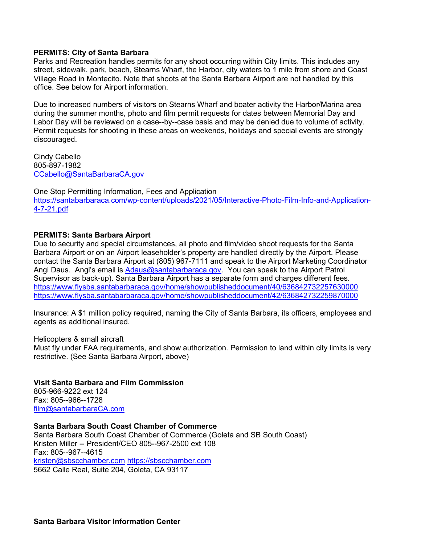### **PERMITS: City of Santa Barbara**

Parks and Recreation handles permits for any shoot occurring within City limits. This includes any street, sidewalk, park, beach, Stearns Wharf, the Harbor, city waters to 1 mile from shore and Coast Village Road in Montecito. Note that shoots at the Santa Barbara Airport are not handled by this office. See below for Airport information.

Due to increased numbers of visitors on Stearns Wharf and boater activity the Harbor/Marina area during the summer months, photo and film permit requests for dates between Memorial Day and Labor Day will be reviewed on a case--by--case basis and may be denied due to volume of activity. Permit requests for shooting in these areas on weekends, holidays and special events are strongly discouraged.

Cindy Cabello 805-897-1982 [CCabello@SantaBarbaraCA.gov](mailto:CCabello@SantaBarbaraCA.gov)

One Stop Permitting Information, Fees and Application [https://santabarbaraca.com/wp-content/uploads/2021/05/Interactive-Photo-Film-Info-and-Application-](https://santabarbaraca.com/wp-content/uploads/2021/05/Interactive-Photo-Film-Info-and-Application-4-7-21.pdf)[4-7-21.pdf](https://santabarbaraca.com/wp-content/uploads/2021/05/Interactive-Photo-Film-Info-and-Application-4-7-21.pdf)

#### **PERMITS: Santa Barbara Airport**

Due to security and special circumstances, all photo and film/video shoot requests for the Santa Barbara Airport or on an Airport leaseholder's property are handled directly by the Airport. Please contact the Santa Barbara Airport at (805) 967-7111 and speak to the Airport Marketing Coordinator Angi Daus. Angi's email is [Adaus@santabarbaraca.gov.](mailto:Adaus@santabarbaraca.gov) You can speak to the Airport Patrol Supervisor as back-up). Santa Barbara Airport has a separate form and charges different fees. <https://www.flysba.santabarbaraca.gov/home/showpublisheddocument/40/636842732257630000> <https://www.flysba.santabarbaraca.gov/home/showpublisheddocument/42/636842732259870000>

Insurance: A \$1 million policy required, naming the City of Santa Barbara, its officers, employees and agents as additional insured.

Helicopters & small aircraft

Must fly under FAA requirements, and show authorization. Permission to land within city limits is very restrictive. (See Santa Barbara Airport, above)

#### **Visit Santa Barbara and Film Commission**

805-966-9222 ext 124 Fax: 805--966--1728 [film@santabarbaraCA.com](mailto:film@santabarbaraCA.com) 

**Santa Barbara South Coast Chamber of Commerce** Santa Barbara South Coast Chamber of Commerce (Goleta and SB South Coast) Kristen Miller -- President/CEO 805--967-2500 ext 108 Fax: 805--967--4615 [kristen@sbscchamber.com](mailto:kristen@sbscchamber.com) [https://sbscchamber.com](https://sbscchamber.com/) 5662 Calle Real, Suite 204, Goleta, CA 93117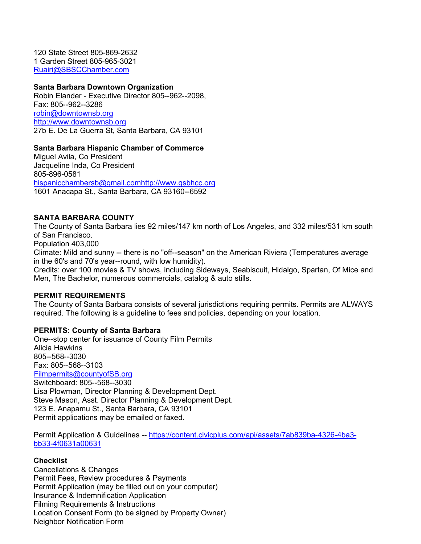120 State Street 805-869-2632 1 Garden Street 805-965-3021 [Ruairi@SBSCChamber.com](mailto:Ruairi@SBSCChamber.com)

#### **Santa Barbara Downtown Organization**

Robin Elander - Executive Director 805--962--2098, Fax: 805--962--3286 [robin@downtownsb.org](mailto:robin@downtownsb.org) [http://www.downtownsb.org](http://www.downtownsb.org/) 27b E. De La Guerra St, Santa Barbara, CA 93101

#### **Santa Barbara Hispanic Chamber of Commerce**

Miguel Avila, Co President Jacqueline Inda, Co President 805-896-0581 [hispanicchambersb@gmail.com](mailto:hispanicchambersb@gmail.com)[http://www.gsbhcc.org](http://www.gsbhcc.org/) 1601 Anacapa St., Santa Barbara, CA 93160--6592

#### **SANTA BARBARA COUNTY**

The County of Santa Barbara lies 92 miles/147 km north of Los Angeles, and 332 miles/531 km south of San Francisco.

Population 403,000

Climate: Mild and sunny -- there is no "off--season" on the American Riviera (Temperatures average in the 60's and 70's year--round, with low humidity).

Credits: over 100 movies & TV shows, including Sideways, Seabiscuit, Hidalgo, Spartan, Of Mice and Men, The Bachelor, numerous commercials, catalog & auto stills.

#### **PERMIT REQUIREMENTS**

The County of Santa Barbara consists of several jurisdictions requiring permits. Permits are ALWAYS required. The following is a guideline to fees and policies, depending on your location.

#### **PERMITS: County of Santa Barbara**

One--stop center for issuance of County Film Permits Alicia Hawkins 805--568--3030 Fax: 805--568--3103 [Filmpermits@countyofSB.org](mailto:Filmpermits@countyofSB.org) Switchboard: 805--568--3030 Lisa Plowman, Director Planning & Development Dept. Steve Mason, Asst. Director Planning & Development Dept. 123 E. Anapamu St., Santa Barbara, CA 93101 Permit applications may be emailed or faxed.

Permit Application & Guidelines -- [https://content.civicplus.com/api/assets/7ab839ba-4326-4ba3](https://content.civicplus.com/api/assets/7ab839ba-4326-4ba3-bb33-4f0631a00631) [bb33-4f0631a00631](https://content.civicplus.com/api/assets/7ab839ba-4326-4ba3-bb33-4f0631a00631)

#### **Checklist**

Cancellations & Changes Permit Fees, Review procedures & Payments Permit Application (may be filled out on your computer) Insurance & Indemnification Application Filming Requirements & Instructions Location Consent Form (to be signed by Property Owner) Neighbor Notification Form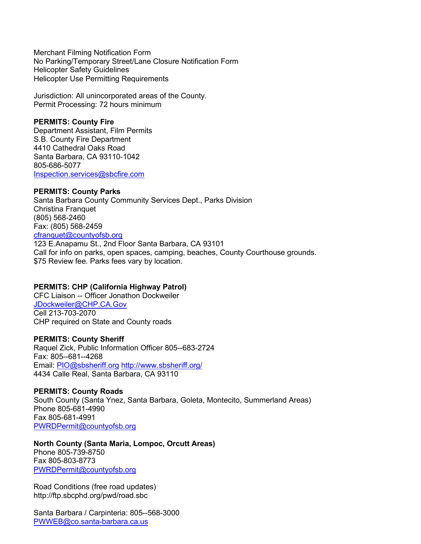Merchant Filming Notification Form No Parking/Temporary Street/Lane Closure Notification Form Helicopter Safety Guidelines Helicopter Use Permitting Requirements

Jurisdiction: All unincorporated areas of the County. Permit Processing: 72 hours minimum

### **PERMITS: County Fire**

Department Assistant, Film Permits S.B. County Fire Department 4410 Cathedral Oaks Road Santa Barbara, CA 93110-1042 805-686-5077 [Inspection.services@sbcfire.com](mailto:Inspection.services@sbcfire.com)

### **PERMITS: County Parks**

Santa Barbara County Community Services Dept., Parks Division Christina Franquet (805) 568-2460 Fax: (805) 568-2459 [cfranquet@countyofsb.org](mailto:cfranquet@countyofsb.org) 123 E.Anapamu St., 2nd Floor Santa Barbara, CA 93101

Call for info on parks, open spaces, camping, beaches, County Courthouse grounds. \$75 Review fee. Parks fees vary by location.

# **PERMITS: CHP (California Highway Patrol)**

CFC Liaison -- Officer Jonathon Dockweiler [JDockweiler@CHP.CA.Gov](mailto:JDockweiler@CHP.CA.Gov) Cell 213-703-2070 CHP required on State and County roads

# **PERMITS: County Sheriff**

Raquel Zick, Public Information Officer 805--683-2724 Fax: 805--681--4268 Email: [PIO@sbsheriff.org](mailto:PIO@sbsheriff.org) <http://www.sbsheriff.org/> 4434 Calle Real, Santa Barbara, CA 93110

#### **PERMITS: County Roads**

South County (Santa Ynez, Santa Barbara, Goleta, Montecito, Summerland Areas) Phone 805-681-4990 Fax 805-681-4991 [PWRDPermit@countyofsb.org](mailto:PWRDPermit@countyofsb.org)

**North County (Santa Maria, Lompoc, Orcutt Areas)**  Phone 805-739-8750 Fax 805-803-8773 [PWRDPermit@countyofsb.org](mailto:PWRDPermit@countyofsb.org)

Road Conditions (free road updates) http://ftp.sbcphd.org/pwd/road.sbc

Santa Barbara / Carpinteria: 805--568-3000 [PWWEB@co.santa-barbara.ca.us](mailto:PWWEB@co.santa-barbara.ca.us)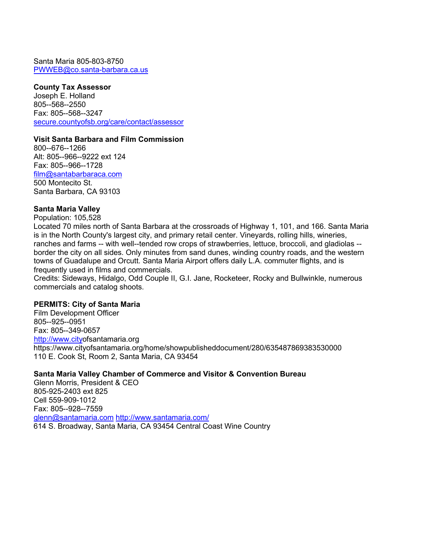Santa Maria 805-803-8750 [PWWEB@co.santa-barbara.ca.us](mailto:PWWEB@co.santa-barbara.ca.us)

#### **County Tax Assessor**

Joseph E. Holland 805--568--2550 Fax: 805--568--3247 [secure.countyofsb.org/care/contact/assessor](mailto:fsiordi@co.santa-)

# **Visit Santa Barbara and Film Commission**

800--676--1266 Alt: 805--966--9222 ext 124 Fax: 805--966--1728 [film@santabarbaraca.com](mailto:film@santabarbaraca.com) 500 Montecito St. Santa Barbara, CA 93103

# **Santa Maria Valley**

Population: 105,528

Located 70 miles north of Santa Barbara at the crossroads of Highway 1, 101, and 166. Santa Maria is in the North County's largest city, and primary retail center. Vineyards, rolling hills, wineries, ranches and farms -- with well--tended row crops of strawberries, lettuce, broccoli, and gladiolas - border the city on all sides. Only minutes from sand dunes, winding country roads, and the western towns of Guadalupe and Orcutt. Santa Maria Airport offers daily L.A. commuter flights, and is frequently used in films and commercials.

Credits: Sideways, Hidalgo, Odd Couple II, G.I. Jane, Rocketeer, Rocky and Bullwinkle, numerous commercials and catalog shoots.

#### **PERMITS: City of Santa Maria**

Film Development Officer 805--925--0951 Fax: 805--349-0657 [http://www.cityo](http://www.city/)fsantamaria.org https://www.cityofsantamaria.org/home/showpublisheddocument/280/635487869383530000 110 E. Cook St, Room 2, Santa Maria, CA 93454

# **Santa Maria Valley Chamber of Commerce and Visitor & Convention Bureau**

Glenn Morris, President & CEO 805-925-2403 ext 825 Cell 559-909-1012 Fax: 805--928--7559 [glenn@santamaria.com](mailto:glenn@santamaria.com) <http://www.santamaria.com/> 614 S. Broadway, Santa Maria, CA 93454 Central Coast Wine Country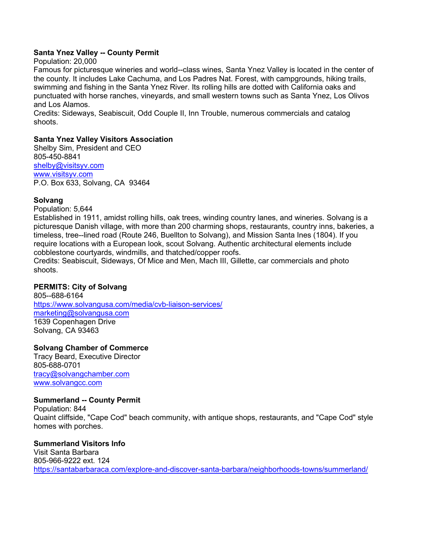# **Santa Ynez Valley -- County Permit**

Population: 20,000

Famous for picturesque wineries and world--class wines, Santa Ynez Valley is located in the center of the county. It includes Lake Cachuma, and Los Padres Nat. Forest, with campgrounds, hiking trails, swimming and fishing in the Santa Ynez River. Its rolling hills are dotted with California oaks and punctuated with horse ranches, vineyards, and small western towns such as Santa Ynez, Los Olivos and Los Alamos.

Credits: Sideways, Seabiscuit, Odd Couple II, Inn Trouble, numerous commercials and catalog shoots.

# **Santa Ynez Valley Visitors Association**

Shelby Sim, President and CEO 805-450-8841 [shelby@visitsyv.com](mailto:shelby@visitsyv.com) [www.visitsyv.com](http://www.visitsyv.com/) P.O. Box 633, Solvang, CA 93464

# **Solvang**

Population: 5,644

Established in 1911, amidst rolling hills, oak trees, winding country lanes, and wineries. Solvang is a picturesque Danish village, with more than 200 charming shops, restaurants, country inns, bakeries, a timeless, tree--lined road (Route 246, Buellton to Solvang), and Mission Santa Ines (1804). If you require locations with a European look, scout Solvang. Authentic architectural elements include cobblestone courtyards, windmills, and thatched/copper roofs.

Credits: Seabiscuit, Sideways, Of Mice and Men, Mach III, Gillette, car commercials and photo shoots.

# **PERMITS: City of Solvang**

805--688-6164 <https://www.solvangusa.com/media/cvb-liaison-services/> [marketing@solvangusa.com](mailto:marketing@solvangusa.com) 1639 Copenhagen Drive Solvang, CA 93463

# **Solvang Chamber of Commerce**

Tracy Beard, Executive Director 805-688-0701 [tracy@solvangchamber.com](mailto:tracy@solvangchamber.com) [www.solvangcc.com](http://www.solvangcc.com/)

# **Summerland -- County Permit**

Population: 844 Quaint cliffside, "Cape Cod" beach community, with antique shops, restaurants, and "Cape Cod" style homes with porches.

# **Summerland Visitors Info**

Visit Santa Barbara 805-966-9222 ext. 124 <https://santabarbaraca.com/explore-and-discover-santa-barbara/neighborhoods-towns/summerland/>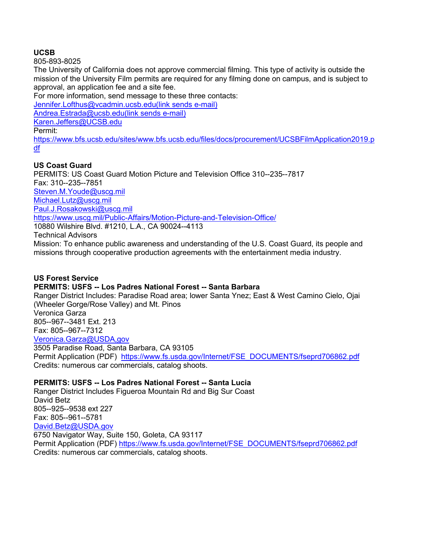# **UCSB**

805-893-8025

The University of California does not approve commercial filming. This type of activity is outside the mission of the University Film permits are required for any filming done on campus, and is subject to approval, an application fee and a site fee.

For more information, send message to these three contacts:

[Jennifer.Lofthus@vcadmin.ucsb.edu\(link sends e-mail\)](mailto:Jennifer.Lofthus@vcadmin.ucsb.edu)

[Andrea.Estrada@ucsb.edu\(link sends e-mail\)](mailto:Andrea.Estrada@ucsb.edu)

[Karen.Jeffers@UCSB.edu](mailto:Karen.Jeffers@UCSB.edu)

Permit:

[https://www.bfs.ucsb.edu/sites/www.bfs.ucsb.edu/files/docs/procurement/UCSBFilmApplication2019.p](https://www.bfs.ucsb.edu/sites/www.bfs.ucsb.edu/files/docs/procurement/UCSBFilmApplication2019.pdf) [df](https://www.bfs.ucsb.edu/sites/www.bfs.ucsb.edu/files/docs/procurement/UCSBFilmApplication2019.pdf)

# **US Coast Guard**

PERMITS: US Coast Guard Motion Picture and Television Office 310--235--7817 Fax: 310--235--7851 [Steven.M.Youde@uscg.mil](mailto:Steven.M.Youde@uscg.mil) [Michael.Lutz@uscg.mil](mailto:Michael.Lutz@uscg.mil) [Paul.J.Rosakowski@uscg.mil](mailto:Paul.J.Rosakowski@uscg.mil)  <https://www.uscg.mil/Public-Affairs/Motion-Picture-and-Television-Office/> 10880 Wilshire Blvd. #1210, L.A., CA 90024--4113 Technical Advisors

Mission: To enhance public awareness and understanding of the U.S. Coast Guard, its people and missions through cooperative production agreements with the entertainment media industry.

# **US Forest Service PERMITS: USFS -- Los Padres National Forest -- Santa Barbara**

Ranger District Includes: Paradise Road area; lower Santa Ynez; East & West Camino Cielo, Ojai (Wheeler Gorge/Rose Valley) and Mt. Pinos Veronica Garza 805--967--3481 Ext. 213 Fax: 805--967--7312 [Veronica.Garza@USDA,gov](mailto:Veronica.Garza@USDA,gov) 3505 Paradise Road, Santa Barbara, CA 93105 Permit Application (PDF) [https://www.fs.usda.gov/Internet/FSE\\_DOCUMENTS/fseprd706862.pdf](https://www.fs.usda.gov/Internet/FSE_DOCUMENTS/fseprd706862.pdf) Credits: numerous car commercials, catalog shoots.

# **PERMITS: USFS -- Los Padres National Forest -- Santa Lucia**

Ranger District Includes Figueroa Mountain Rd and Big Sur Coast David Betz 805--925--9538 ext 227 Fax: 805--961--5781 [David.Betz@USDA.gov](mailto:David.Betz@USDA.gov) 6750 Navigator Way, Suite 150, Goleta, CA 93117 Permit Application (PDF) [https://www.fs.usda.gov/Internet/FSE\\_DOCUMENTS/fseprd706862.pdf](https://www.fs.usda.gov/Internet/FSE_DOCUMENTS/fseprd706862.pdf) Credits: numerous car commercials, catalog shoots.